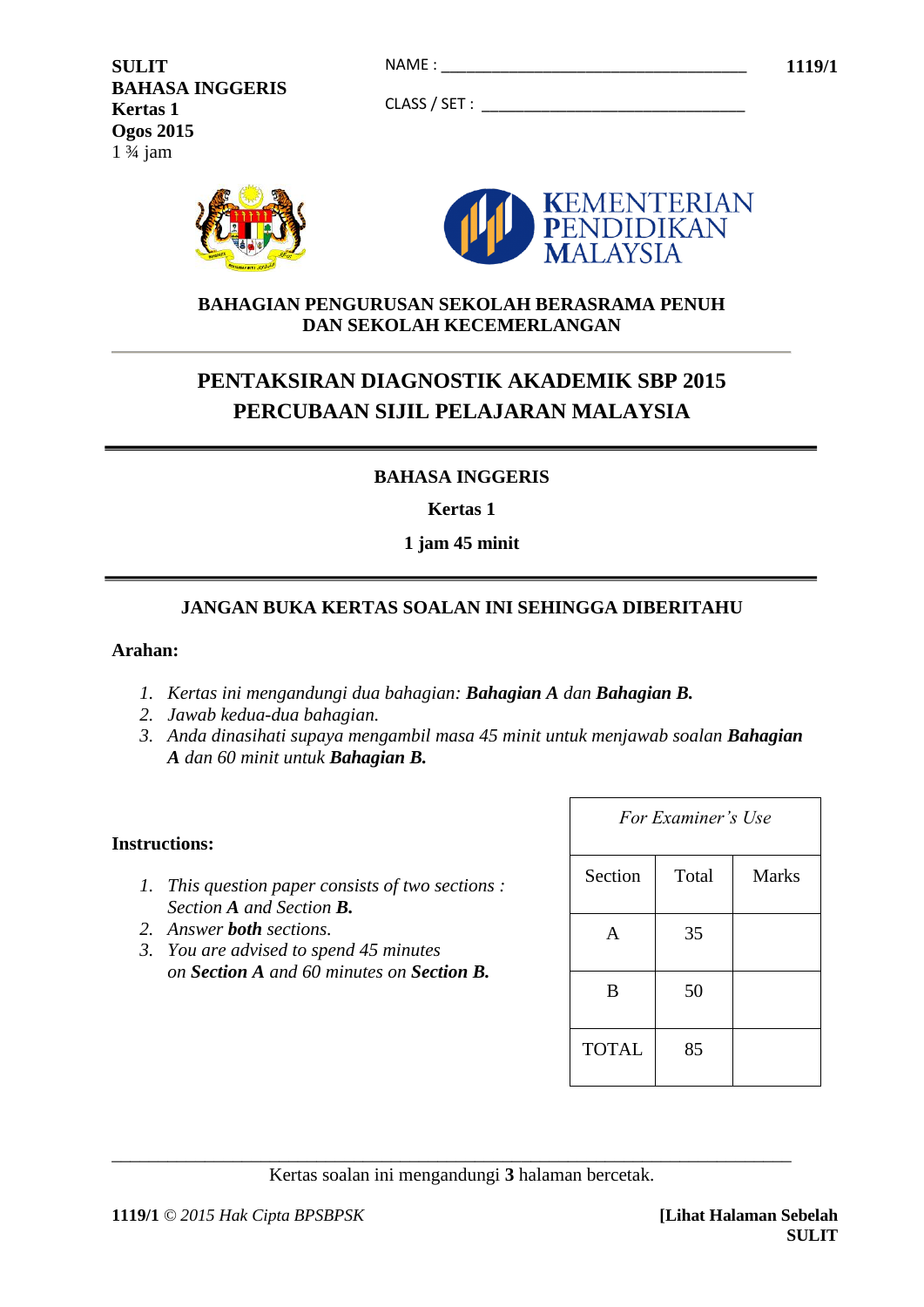CLASS / SET : \_\_\_\_\_\_\_\_\_\_\_\_\_\_\_\_\_\_\_\_\_\_\_\_\_\_\_\_\_\_\_

**SULIT 1119/1** NAME : \_\_\_\_\_\_\_\_\_\_\_\_\_\_\_\_\_\_\_\_\_\_\_\_\_\_\_\_\_\_\_\_\_\_\_\_ **BAHASA INGGERIS Kertas 1 Ogos 2015**  $1 \frac{3}{4}$  jam



## **BAHAGIAN PENGURUSAN SEKOLAH BERASRAMA PENUH DAN SEKOLAH KECEMERLANGAN**

# **PENTAKSIRAN DIAGNOSTIK AKADEMIK SBP 2015 PERCUBAAN SIJIL PELAJARAN MALAYSIA**

# **BAHASA INGGERIS**

**Kertas 1**

**1 jam 45 minit**

## **JANGAN BUKA KERTAS SOALAN INI SEHINGGA DIBERITAHU**

#### **Arahan:**

- *1. Kertas ini mengandungi dua bahagian: Bahagian A dan Bahagian B.*
- *2. Jawab kedua-dua bahagian.*
- *3. Anda dinasihati supaya mengambil masa 45 minit untuk menjawab soalan Bahagian A dan 60 minit untuk Bahagian B.*

#### **Instructions:**

- *1. This question paper consists of two sections : Section A and Section B.*
- *2. Answer both sections.*
- *3. You are advised to spend 45 minutes on Section A and 60 minutes on Section B.*

| For Examiner's Use |       |              |
|--------------------|-------|--------------|
| Section            | Total | <b>Marks</b> |
| A                  | 35    |              |
| B                  | 50    |              |
| <b>TOTAL</b>       | 85    |              |

\_\_\_\_\_\_\_\_\_\_\_\_\_\_\_\_\_\_\_\_\_\_\_\_\_\_\_\_\_\_\_\_\_\_\_\_\_\_\_\_\_\_\_\_\_\_\_\_\_\_\_\_\_\_\_\_\_\_\_\_\_\_\_\_\_\_\_\_\_\_\_\_\_ Kertas soalan ini mengandungi **3** halaman bercetak.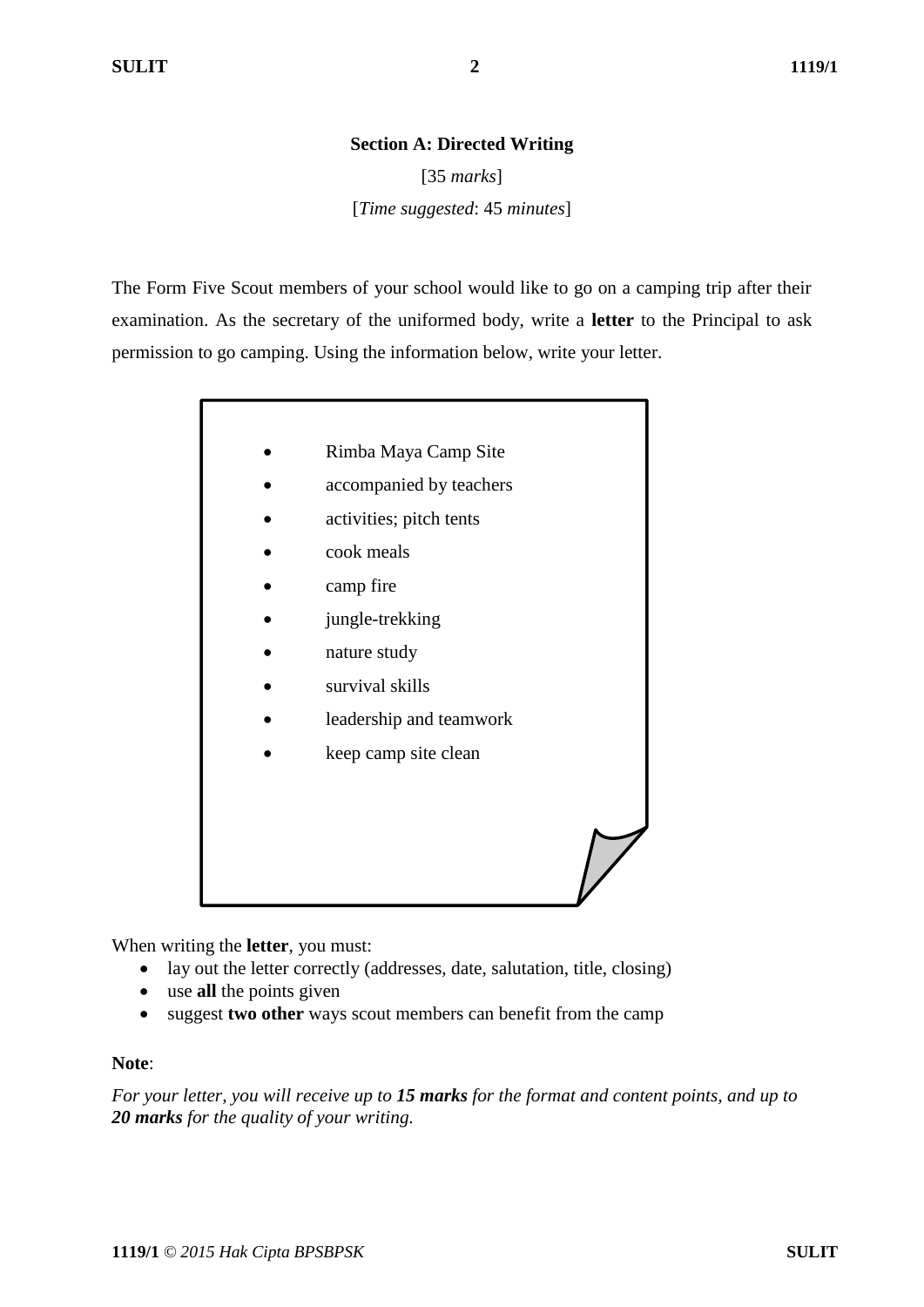#### **Section A: Directed Writing**

[35 *marks*] [*Time suggested*: 45 *minutes*]

The Form Five Scout members of your school would like to go on a camping trip after their examination. As the secretary of the uniformed body, write a **letter** to the Principal to ask permission to go camping. Using the information below, write your letter.

- Rimba Maya Camp Site
- accompanied by teachers
- activities; pitch tents
- cook meals
- camp fire
- jungle-trekking
- nature study
- survival skills
- leadership and teamwork
- keep camp site clean

When writing the **letter**, you must:

- lay out the letter correctly (addresses, date, salutation, title, closing)
- use **all** the points given
- suggest **two other** ways scout members can benefit from the camp

#### **Note**:

*For your letter, you will receive up to 15 marks for the format and content points, and up to 20 marks for the quality of your writing.*